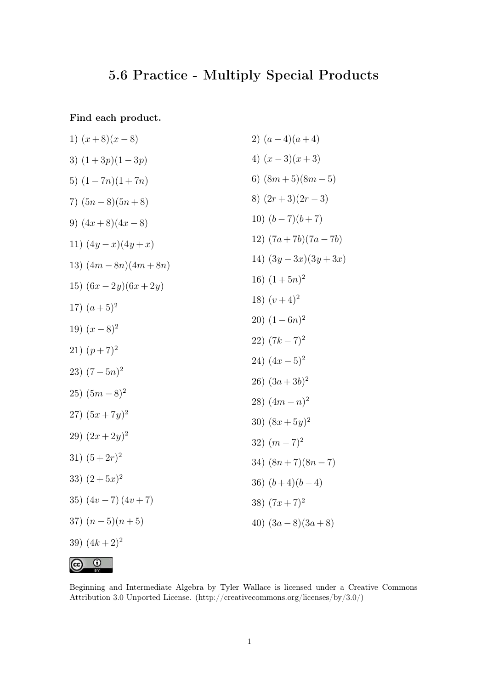## **5.6 Practice - Multiply Special Products**

**Find each product.**

1) 
$$
(x+8)(x-8)
$$
  
\n2)  $(a-4)(a+4)$   
\n3)  $(1+3p)(1-3p)$   
\n4)  $(x-3)(x+3)$   
\n5)  $(1-7n)(1+7n)$   
\n6)  $(8m+5)(8m-5)$   
\n7)  $(5n-8)(5n+8)$   
\n8)  $(2r+3)(2r-3)$   
\n9)  $(4x+8)(4x-8)$   
\n10)  $(b-7)(b+7)$   
\n11)  $(4y-x)(4y+x)$   
\n12)  $(7a+7b)(7a-7b)$   
\n13)  $(4m-8n)(4m+8n)$   
\n14)  $(3y-3x)(3y+3x)$   
\n15)  $(6x-2y)(6x+2y)$   
\n16)  $(1+5n)^2$   
\n18)  $(v+4)^2$   
\n20)  $(1-6n)^2$   
\n21)  $(p+7)^2$   
\n22)  $(7k-7)^2$   
\n23)  $(7-5n)^2$   
\n24)  $(4x-5)^2$   
\n25)  $(5m-8)^2$   
\n26)  $(3a+3b)^2$   
\n27)  $(5x+7y)^2$   
\n28)  $(4m-n)^2$   
\n29)  $(2x+2y)^2$   
\n30)  $(8x+5y)^2$   
\n31)  $(5+2r)^2$   
\n32)  $(m-7)^2$   
\n33)  $(2+5x)^2$   
\n34)  $(8n+7)(8n-7)$   
\n35)  $(4v-7)(4v+7)$   
\n36)  $(b+4)(b-4)$   
\n37)  $(n-5)(n+5)$   
\n38)  $(7x+7)^2$   
\n39)  $(4k+2)^2$ 



Beginning and Intermediate Algebra by Tyler Wallace is licensed under a Creative Commons Attribution 3.0 Unported License. (http://creativecommons.org/licenses/by/3.0/)